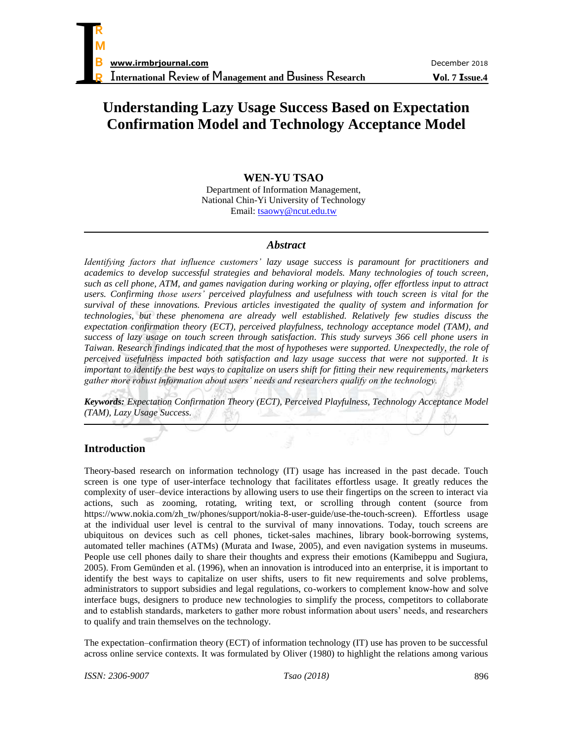# **Understanding Lazy Usage Success Based on Expectation Confirmation Model and Technology Acceptance Model**

# **WEN-YU TSAO**

Department of Information Management, National Chin-Yi University of Technology Email[: tsaowy@ncut.edu.tw](mailto:tsaowy@ncut.edu.tw)

## *Abstract*

*Identifying factors that influence customers' lazy usage success is paramount for practitioners and academics to develop successful strategies and behavioral models. Many technologies of touch screen, such as cell phone, ATM, and games navigation during working or playing, offer effortless input to attract users. Confirming those users' perceived playfulness and usefulness with touch screen is vital for the survival of these innovations. Previous articles investigated the quality of system and information for technologies, but these phenomena are already well established. Relatively few studies discuss the expectation confirmation theory (ECT), perceived playfulness, technology acceptance model (TAM), and success of lazy usage on touch screen through satisfaction. This study surveys 366 cell phone users in Taiwan. Research findings indicated that the most of hypotheses were supported. Unexpectedly, the role of perceived usefulness impacted both satisfaction and lazy usage success that were not supported. It is important to identify the best ways to capitalize on users shift for fitting their new requirements, marketers gather more robust information about users' needs and researchers qualify on the technology.*

*Keywords: Expectation Confirmation Theory (ECT), Perceived Playfulness, Technology Acceptance Model (TAM), Lazy Usage Success.*

## **Introduction**

Theory-based research on information technology (IT) usage has increased in the past decade. Touch screen is one type of user-interface technology that facilitates effortless usage. It greatly reduces the complexity of user–device interactions by allowing users to use their fingertips on the screen to interact via actions, such as zooming, rotating, writing text, or scrolling through content (source from https://www.nokia.com/zh\_tw/phones/support/nokia-8-user-guide/use-the-touch-screen). Effortless usage at the individual user level is central to the survival of many innovations. Today, touch screens are ubiquitous on devices such as cell phones, ticket-sales machines, library book-borrowing systems, automated teller machines (ATMs) (Murata and Iwase, 2005), and even navigation systems in museums. People use cell phones daily to share their thoughts and express their emotions (Kamibeppu and Sugiura, 2005). From Gemünden et al. (1996), when an innovation is introduced into an enterprise, it is important to identify the best ways to capitalize on user shifts, users to fit new requirements and solve problems, administrators to support subsidies and legal regulations, co-workers to complement know-how and solve interface bugs, designers to produce new technologies to simplify the process, competitors to collaborate and to establish standards, marketers to gather more robust information about users' needs, and researchers to qualify and train themselves on the technology.

The expectation–confirmation theory (ECT) of information technology (IT) use has proven to be successful across online service contexts. It was formulated by Oliver (1980) to highlight the relations among various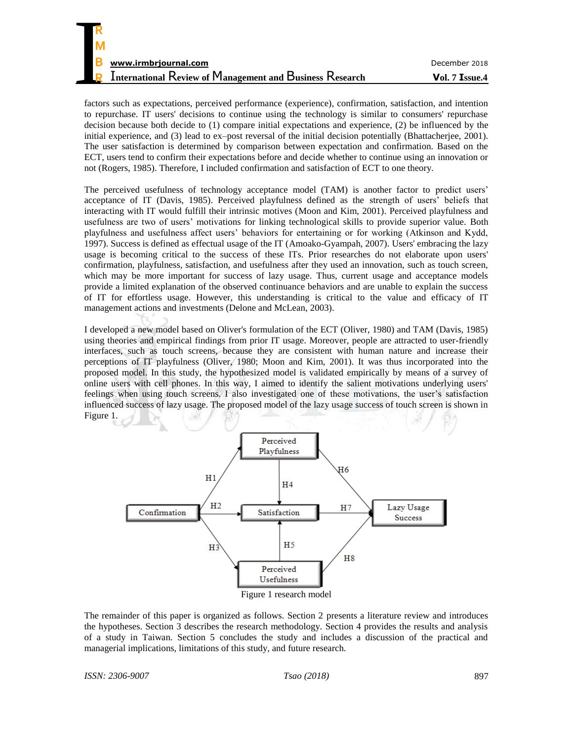| R                                                               |                |
|-----------------------------------------------------------------|----------------|
|                                                                 |                |
| M                                                               |                |
| B<br>www.irmbrjournal.com                                       | December 2018  |
| <b>International Review of Management and Business Research</b> | Vol. 7 Issue.4 |

factors such as expectations, perceived performance (experience), confirmation, satisfaction, and intention to repurchase. IT users' decisions to continue using the technology is similar to consumers' repurchase decision because both decide to (1) compare initial expectations and experience, (2) be influenced by the initial experience, and (3) lead to ex–post reversal of the initial decision potentially (Bhattacherjee, 2001). The user satisfaction is determined by comparison between expectation and confirmation. Based on the ECT, users tend to confirm their expectations before and decide whether to continue using an innovation or not (Rogers, 1985). Therefore, I included confirmation and satisfaction of ECT to one theory.

The perceived usefulness of technology acceptance model (TAM) is another factor to predict users' acceptance of IT (Davis, 1985). Perceived playfulness defined as the strength of users' beliefs that interacting with IT would fulfill their intrinsic motives (Moon and Kim, 2001). Perceived playfulness and usefulness are two of users' motivations for linking technological skills to provide superior value. Both playfulness and usefulness affect users' behaviors for entertaining or for working (Atkinson and Kydd, 1997). Success is defined as effectual usage of the IT (Amoako-Gyampah, 2007). Users' embracing the lazy usage is becoming critical to the success of these ITs. Prior researches do not elaborate upon users' confirmation, playfulness, satisfaction, and usefulness after they used an innovation, such as touch screen, which may be more important for success of lazy usage. Thus, current usage and acceptance models provide a limited explanation of the observed continuance behaviors and are unable to explain the success of IT for effortless usage. However, this understanding is critical to the value and efficacy of IT management actions and investments (Delone and McLean, 2003).

I developed a new model based on Oliver's formulation of the ECT (Oliver, 1980) and TAM (Davis, 1985) using theories and empirical findings from prior IT usage. Moreover, people are attracted to user-friendly interfaces, such as touch screens, because they are consistent with human nature and increase their perceptions of IT playfulness (Oliver, 1980; Moon and Kim, 2001). It was thus incorporated into the proposed model. In this study, the hypothesized model is validated empirically by means of a survey of online users with cell phones. In this way, I aimed to identify the salient motivations underlying users' feelings when using touch screens. I also investigated one of these motivations, the user's satisfaction influenced success of lazy usage. The proposed model of the lazy usage success of touch screen is shown in Figure 1.



The remainder of this paper is organized as follows. Section 2 presents a literature review and introduces the hypotheses. Section 3 describes the research methodology. Section 4 provides the results and analysis of a study in Taiwan. Section 5 concludes the study and includes a discussion of the practical and managerial implications, limitations of this study, and future research.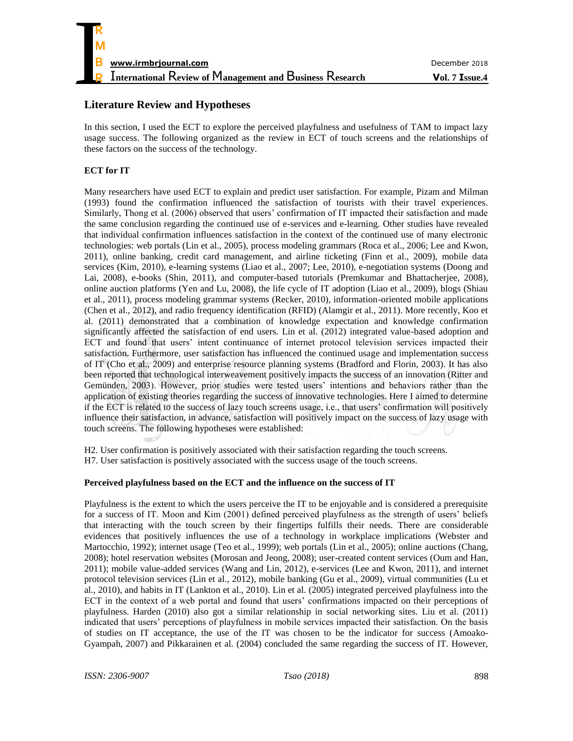

## **Literature Review and Hypotheses**

In this section, I used the ECT to explore the perceived playfulness and usefulness of TAM to impact lazy usage success. The following organized as the review in ECT of touch screens and the relationships of these factors on the success of the technology.

## **ECT for IT**

Many researchers have used ECT to explain and predict user satisfaction. For example, Pizam and Milman (1993) found the confirmation influenced the satisfaction of tourists with their travel experiences. Similarly, Thong et al. (2006) observed that users' confirmation of IT impacted their satisfaction and made the same conclusion regarding the continued use of e-services and e-learning. Other studies have revealed that individual confirmation influences satisfaction in the context of the continued use of many electronic technologies: web portals (Lin et al., 2005), process modeling grammars (Roca et al., 2006; Lee and Kwon, 2011), online banking, credit card management, and airline ticketing (Finn et al., 2009), mobile data services (Kim, 2010), e-learning systems (Liao et al., 2007; Lee, 2010), e-negotiation systems (Doong and Lai, 2008), e-books (Shin, 2011), and computer-based tutorials (Premkumar and Bhattacherjee, 2008), online auction platforms (Yen and Lu, 2008), the life cycle of IT adoption (Liao et al., 2009), blogs (Shiau et al., 2011), process modeling grammar systems (Recker, 2010), information-oriented mobile applications (Chen et al., 2012), and radio frequency identification (RFID) (Alamgir et al., 2011). More recently, Koo et al. (2011) demonstrated that a combination of knowledge expectation and knowledge confirmation significantly affected the satisfaction of end users. Lin et al. (2012) integrated value-based adoption and ECT and found that users' intent continuance of internet protocol television services impacted their satisfaction. Furthermore, user satisfaction has influenced the continued usage and implementation success of IT (Cho et al., 2009) and enterprise resource planning systems (Bradford and Florin, 2003). It has also been reported that technological interweavement positively impacts the success of an innovation (Ritter and Gemünden, 2003). However, prior studies were tested users' intentions and behaviors rather than the application of existing theories regarding the success of innovative technologies. Here I aimed to determine if the ECT is related to the success of lazy touch screens usage, i.e., that users' confirmation will positively influence their satisfaction, in advance, satisfaction will positively impact on the success of lazy usage with touch screens. The following hypotheses were established:

H2. User confirmation is positively associated with their satisfaction regarding the touch screens. H7. User satisfaction is positively associated with the success usage of the touch screens.

#### **Perceived playfulness based on the ECT and the influence on the success of IT**

Playfulness is the extent to which the users perceive the IT to be enjoyable and is considered a prerequisite for a success of IT. Moon and Kim (2001) defined perceived playfulness as the strength of users' beliefs that interacting with the touch screen by their fingertips fulfills their needs. There are considerable evidences that positively influences the use of a technology in workplace implications (Webster and Martocchio, 1992); internet usage (Teo et al., 1999); web portals (Lin et al., 2005); online auctions (Chang, 2008); hotel reservation websites (Morosan and Jeong, 2008); user-created content services (Oum and Han, 2011); mobile value-added services (Wang and Lin, 2012), e-services (Lee and Kwon, 2011), and internet protocol television services (Lin et al., 2012), mobile banking (Gu et al., 2009), virtual communities (Lu et al., 2010), and habits in IT (Lankton et al., 2010). Lin et al. (2005) integrated perceived playfulness into the ECT in the context of a web portal and found that users' confirmations impacted on their perceptions of playfulness. Harden (2010) also got a similar relationship in social networking sites. Liu et al. (2011) indicated that users' perceptions of playfulness in mobile services impacted their satisfaction. On the basis of studies on IT acceptance, the use of the IT was chosen to be the indicator for success (Amoako-Gyampah, 2007) and Pikkarainen et al. (2004) concluded the same regarding the success of IT. However,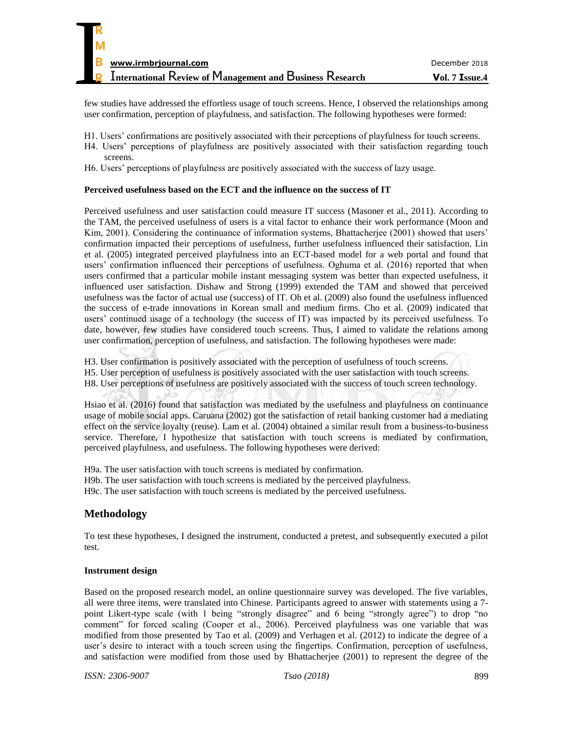few studies have addressed the effortless usage of touch screens. Hence, I observed the relationships among user confirmation, perception of playfulness, and satisfaction. The following hypotheses were formed:

- H1. Users' confirmations are positively associated with their perceptions of playfulness for touch screens.
- H4. Users' perceptions of playfulness are positively associated with their satisfaction regarding touch screens.
- H6. Users' perceptions of playfulness are positively associated with the success of lazy usage.

#### **Perceived usefulness based on the ECT and the influence on the success of IT**

Perceived usefulness and user satisfaction could measure IT success (Masoner et al., 2011). According to the TAM, the perceived usefulness of users is a vital factor to enhance their work performance (Moon and Kim, 2001). Considering the continuance of information systems, Bhattacherjee (2001) showed that users' confirmation impacted their perceptions of usefulness, further usefulness influenced their satisfaction. Lin et al. (2005) integrated perceived playfulness into an ECT-based model for a web portal and found that users' confirmation influenced their perceptions of usefulness. Oghuma et al. (2016) reported that when users confirmed that a particular mobile instant messaging system was better than expected usefulness, it influenced user satisfaction. Dishaw and Strong (1999) extended the TAM and showed that perceived usefulness was the factor of actual use (success) of IT. Oh et al. (2009) also found the usefulness influenced the success of e-trade innovations in Korean small and medium firms. Cho et al. (2009) indicated that users' continued usage of a technology (the success of IT) was impacted by its perceived usefulness. To date, however, few studies have considered touch screens. Thus, I aimed to validate the relations among user confirmation, perception of usefulness, and satisfaction. The following hypotheses were made:

H3. User confirmation is positively associated with the perception of usefulness of touch screens.

- H5. User perception of usefulness is positively associated with the user satisfaction with touch screens.
- H8. User perceptions of usefulness are positively associated with the success of touch screen technology.

Hsiao et al. (2016) found that satisfaction was mediated by the usefulness and playfulness on continuance usage of mobile social apps. Caruana (2002) got the satisfaction of retail banking customer had a mediating effect on the service loyalty (reuse). Lam et al. (2004) obtained a similar result from a business-to-business service. Therefore, I hypothesize that satisfaction with touch screens is mediated by confirmation, perceived playfulness, and usefulness. The following hypotheses were derived:

H9a. The user satisfaction with touch screens is mediated by confirmation. H9b. The user satisfaction with touch screens is mediated by the perceived playfulness. H9c. The user satisfaction with touch screens is mediated by the perceived usefulness.

## **Methodology**

To test these hypotheses, I designed the instrument, conducted a pretest, and subsequently executed a pilot test.

#### **Instrument design**

Based on the proposed research model, an online questionnaire survey was developed. The five variables, all were three items, were translated into Chinese. Participants agreed to answer with statements using a 7 point Likert-type scale (with 1 being "strongly disagree" and 6 being "strongly agree") to drop "no comment" for forced scaling (Cooper et al., 2006). Perceived playfulness was one variable that was modified from those presented by Tao et al. (2009) and Verhagen et al. (2012) to indicate the degree of a user's desire to interact with a touch screen using the fingertips. Confirmation, perception of usefulness, and satisfaction were modified from those used by Bhattacherjee (2001) to represent the degree of the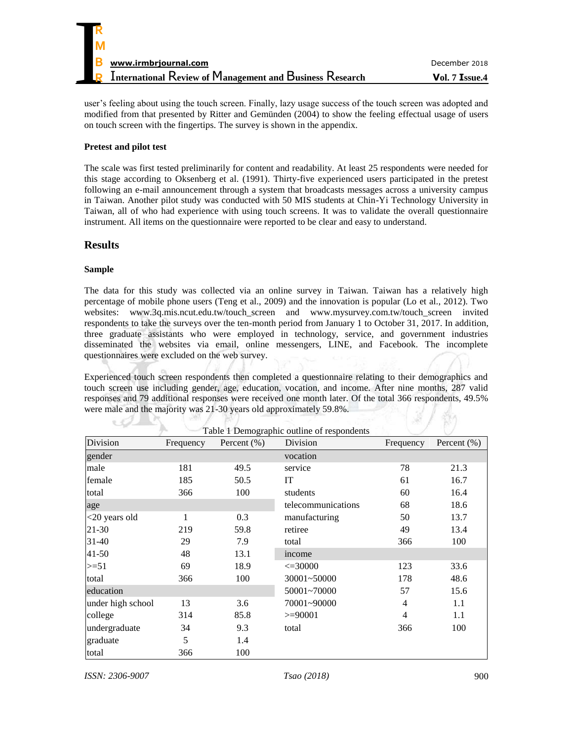

user's feeling about using the touch screen. Finally, lazy usage success of the touch screen was adopted and modified from that presented by Ritter and Gemünden (2004) to show the feeling effectual usage of users on touch screen with the fingertips. The survey is shown in the appendix.

#### **Pretest and pilot test**

The scale was first tested preliminarily for content and readability. At least 25 respondents were needed for this stage according to Oksenberg et al. (1991). Thirty-five experienced users participated in the pretest following an e-mail announcement through a system that broadcasts messages across a university campus in Taiwan. Another pilot study was conducted with 50 MIS students at Chin-Yi Technology University in Taiwan, all of who had experience with using touch screens. It was to validate the overall questionnaire instrument. All items on the questionnaire were reported to be clear and easy to understand.

## **Results**

#### **Sample**

The data for this study was collected via an online survey in Taiwan. Taiwan has a relatively high percentage of mobile phone users (Teng et al., 2009) and the innovation is popular (Lo et al., 2012). Two websites: [www.3q.mis.ncut.edu.tw/touch\\_screen](http://www.3q.mis.ncut.edu.tw/touch_screen) and [www.mysurvey.com.tw/touch\\_screen](http://www.mysurvey.com.tw/touch_screen) invited respondents to take the surveys over the ten-month period from January 1 to October 31, 2017. In addition, three graduate assistants who were employed in technology, service, and government industries disseminated the websites via email, online messengers, LINE, and Facebook. The incomplete questionnaires were excluded on the web survey.

Experienced touch screen respondents then completed a questionnaire relating to their demographics and touch screen use including gender, age, education, vocation, and income. After nine months, 287 valid responses and 79 additional responses were received one month later. Of the total 366 respondents, 49.5% were male and the majority was 21-30 years old approximately 59.8%.

| Division          | Frequency    | Percent $(\% )$ | Division           | Frequency      | Percent $(\% )$ |
|-------------------|--------------|-----------------|--------------------|----------------|-----------------|
| gender            |              |                 | vocation           |                |                 |
| male              | 181          | 49.5            | service            | 78             | 21.3            |
| female            | 185          | 50.5            | IT                 | 61             | 16.7            |
| total             | 366          | 100             | students           | 60             | 16.4            |
| age               |              |                 | telecommunications | 68             | 18.6            |
| <20 years old     | $\mathbf{1}$ | 0.3             | manufacturing      | 50             | 13.7            |
| 21-30             | 219          | 59.8            | retiree            | 49             | 13.4            |
| 31-40             | 29           | 7.9             | total              | 366            | 100             |
| $41 - 50$         | 48           | 13.1            | income             |                |                 |
| $>=51$            | 69           | 18.9            | $\leq 30000$       | 123            | 33.6            |
| total             | 366          | 100             | $30001 - 50000$    | 178            | 48.6            |
| education         |              |                 | 50001~70000        | 57             | 15.6            |
| under high school | 13           | 3.6             | 70001~90000        | 4              | 1.1             |
| college           | 314          | 85.8            | $>= 90001$         | $\overline{4}$ | 1.1             |
| undergraduate     | 34           | 9.3             | total              | 366            | 100             |
| graduate          | 5            | 1.4             |                    |                |                 |
| total             | 366          | 100             |                    |                |                 |

*ISSN: 2306-9007 Tsao (2018)* 900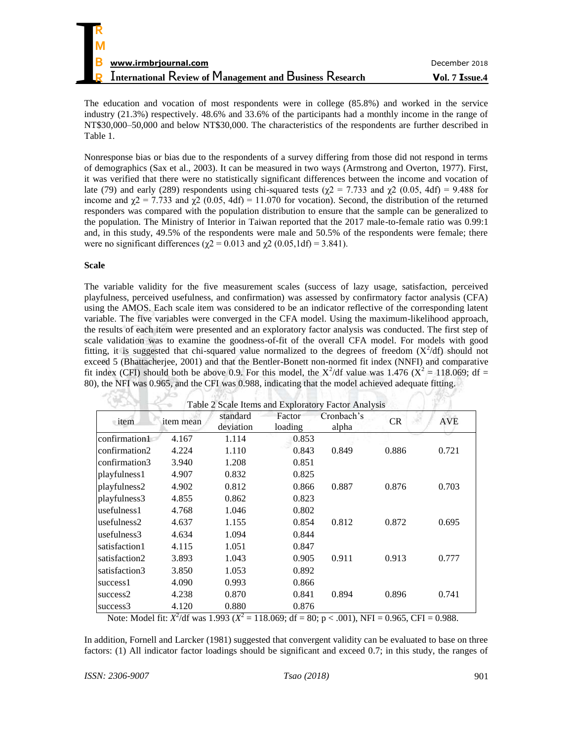

The education and vocation of most respondents were in college (85.8%) and worked in the service industry (21.3%) respectively. 48.6% and 33.6% of the participants had a monthly income in the range of NT\$30,000–50,000 and below NT\$30,000. The characteristics of the respondents are further described in Table 1.

Nonresponse bias or bias due to the respondents of a survey differing from those did not respond in terms of demographics (Sax et al., 2003). It can be measured in two ways (Armstrong and Overton, 1977). First, it was verified that there were no statistically significant differences between the income and vocation of late (79) and early (289) respondents using chi-squared tests ( $\chi$ 2 = 7.733 and  $\chi$ 2 (0.05, 4df) = 9.488 for income and  $\chi$ 2 = 7.733 and  $\chi$ 2 (0.05, 4df) = 11.070 for vocation). Second, the distribution of the returned responders was compared with the population distribution to ensure that the sample can be generalized to the population. The Ministry of Interior in Taiwan reported that the 2017 male-to-female ratio was 0.99:1 and, in this study, 49.5% of the respondents were male and 50.5% of the respondents were female; there were no significant differences ( $\chi$ 2 = 0.013 and  $\chi$ 2 (0.05,1df) = 3.841).

#### **Scale**

-1971 ... . . . /a

 $1.4972$ 

The variable validity for the five measurement scales (success of lazy usage, satisfaction, perceived playfulness, perceived usefulness, and confirmation) was assessed by confirmatory factor analysis (CFA) using the AMOS. Each scale item was considered to be an indicator reflective of the corresponding latent variable. The five variables were converged in the CFA model. Using the maximum-likelihood approach, the results of each item were presented and an exploratory factor analysis was conducted. The first step of scale validation was to examine the goodness-of-fit of the overall CFA model. For models with good fitting, it is suggested that chi-squared value normalized to the degrees of freedom  $(X^2/df)$  should not exceed 5 (Bhattacherjee, 2001) and that the Bentler-Bonett non-normed fit index (NNFI) and comparative fit index (CFI) should both be above 0.9. For this model, the  $X^2/df$  value was 1.476 ( $X^2 = 118.069$ ; df = 80), the NFI was 0.965, and the CFI was 0.988, indicating that the model achieved adequate fitting.

ш

|               |           |                       |                   | Table 2 Scale Items and Exploratory Factor Analysis |       |            |
|---------------|-----------|-----------------------|-------------------|-----------------------------------------------------|-------|------------|
| item          | item mean | standard<br>deviation | Factor<br>loading | Cronbach's<br>alpha                                 | CR    | <b>AVE</b> |
| confirmation1 | 4.167     | 1.114                 | 0.853             |                                                     |       |            |
| confirmation2 | 4.224     | 1.110                 | 0.843             | 0.849                                               | 0.886 | 0.721      |
| confirmation3 | 3.940     | 1.208                 | 0.851             |                                                     |       |            |
| playfulness1  | 4.907     | 0.832                 | 0.825             |                                                     |       |            |
| playfulness2  | 4.902     | 0.812                 | 0.866             | 0.887                                               | 0.876 | 0.703      |
| playfulness3  | 4.855     | 0.862                 | 0.823             |                                                     |       |            |
| usefulness1   | 4.768     | 1.046                 | 0.802             |                                                     |       |            |
| usefulness2   | 4.637     | 1.155                 | 0.854             | 0.812                                               | 0.872 | 0.695      |
| usefulness3   | 4.634     | 1.094                 | 0.844             |                                                     |       |            |
| satisfaction1 | 4.115     | 1.051                 | 0.847             |                                                     |       |            |
| satisfaction2 | 3.893     | 1.043                 | 0.905             | 0.911                                               | 0.913 | 0.777      |
| satisfaction3 | 3.850     | 1.053                 | 0.892             |                                                     |       |            |
| success1      | 4.090     | 0.993                 | 0.866             |                                                     |       |            |
| success2      | 4.238     | 0.870                 | 0.841             | 0.894                                               | 0.896 | 0.741      |
| success3      | 4.120     | 0.880                 | 0.876             |                                                     |       |            |

Note: Model fit:  $X^2$ /df was 1.993 ( $X^2 = 118.069$ ; df = 80; p < .001), NFI = 0.965, CFI = 0.988.

In addition, Fornell and Larcker (1981) suggested that convergent validity can be evaluated to base on three factors: (1) All indicator factor loadings should be significant and exceed 0.7; in this study, the ranges of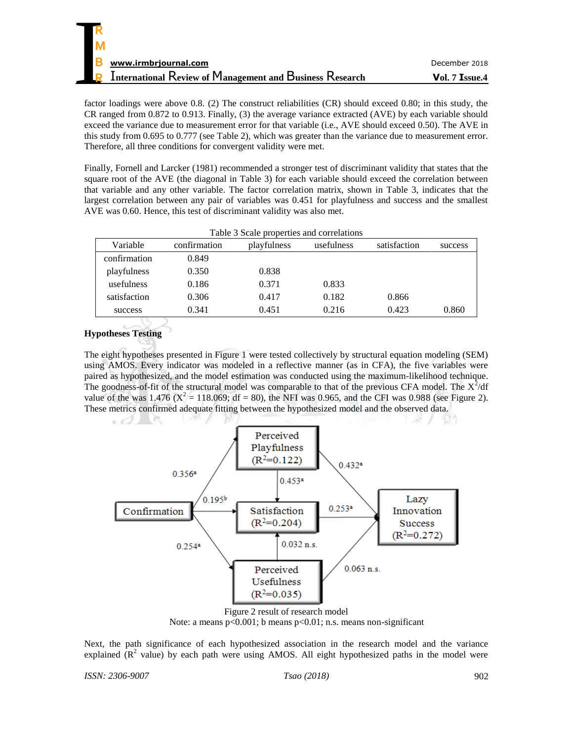| R                                                               |                |
|-----------------------------------------------------------------|----------------|
| M                                                               |                |
| B<br>www.irmbrjournal.com                                       | December 2018  |
| <b>International Review of Management and Business Research</b> | Vol. 7 Issue.4 |

factor loadings were above 0.8. (2) The construct reliabilities (CR) should exceed 0.80; in this study, the CR ranged from 0.872 to 0.913. Finally, (3) the average variance extracted (AVE) by each variable should exceed the variance due to measurement error for that variable (i.e., AVE should exceed 0.50). The AVE in this study from 0.695 to 0.777 (see Table 2), which was greater than the variance due to measurement error. Therefore, all three conditions for convergent validity were met.

Finally, Fornell and Larcker (1981) recommended a stronger test of discriminant validity that states that the square root of the AVE (the diagonal in Table 3) for each variable should exceed the correlation between that variable and any other variable. The factor correlation matrix, shown in Table 3, indicates that the largest correlation between any pair of variables was 0.451 for playfulness and success and the smallest AVE was 0.60. Hence, this test of discriminant validity was also met.

|              |              | Table 3 Scale properties and correlations |            |              |         |
|--------------|--------------|-------------------------------------------|------------|--------------|---------|
| Variable     | confirmation | playfulness                               | usefulness | satisfaction | success |
| confirmation | 0.849        |                                           |            |              |         |
| playfulness  | 0.350        | 0.838                                     |            |              |         |
| usefulness   | 0.186        | 0.371                                     | 0.833      |              |         |
| satisfaction | 0.306        | 0.417                                     | 0.182      | 0.866        |         |
| success      | 0.341        | 0.451                                     | 0.216      | 0.423        | 0.860   |

**Hypotheses Testing**

The eight hypotheses presented in Figure 1 were tested collectively by structural equation modeling (SEM) using AMOS. Every indicator was modeled in a reflective manner (as in CFA), the five variables were paired as hypothesized, and the model estimation was conducted using the maximum-likelihood technique. The goodness-of-fit of the structural model was comparable to that of the previous CFA model. The  $X^2/df$ value of the was 1.476 ( $X^2 = 118.069$ ; df = 80), the NFI was 0.965, and the CFI was 0.988 (see Figure 2). These metrics confirmed adequate fitting between the hypothesized model and the observed data.



Note: a means  $p<0.001$ ; b means  $p<0.01$ ; n.s. means non-significant

Next, the path significance of each hypothesized association in the research model and the variance explained  $(R^2)$  value) by each path were using AMOS. All eight hypothesized paths in the model were

*ISSN: 2306-9007 Tsao (2018)* 902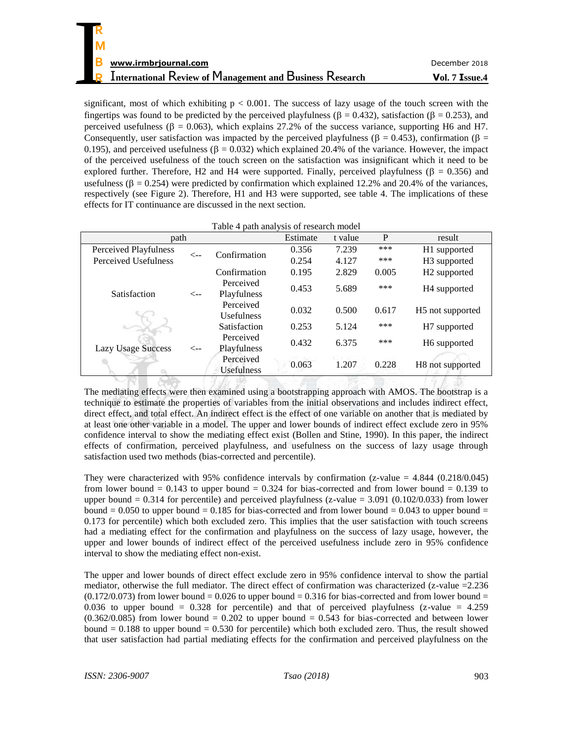significant, most of which exhibiting  $p < 0.001$ . The success of lazy usage of the touch screen with the fingertips was found to be predicted by the perceived playfulness ( $\beta = 0.432$ ), satisfaction ( $\beta = 0.253$ ), and perceived usefulness ( $\beta = 0.063$ ), which explains 27.2% of the success variance, supporting H6 and H7. Consequently, user satisfaction was impacted by the perceived playfulness ( $\beta = 0.453$ ), confirmation ( $\beta = 0.453$ ) 0.195), and perceived usefulness ( $\beta$  = 0.032) which explained 20.4% of the variance. However, the impact of the perceived usefulness of the touch screen on the satisfaction was insignificant which it need to be explored further. Therefore, H2 and H4 were supported. Finally, perceived playfulness ( $\beta = 0.356$ ) and usefulness ( $\beta = 0.254$ ) were predicted by confirmation which explained 12.2% and 20.4% of the variances, respectively (see Figure 2). Therefore, H1 and H3 were supported, see table 4. The implications of these effects for IT continuance are discussed in the next section.

| path                      |                |                   | Estimate       | t value | P     | result                       |
|---------------------------|----------------|-------------------|----------------|---------|-------|------------------------------|
| Perceived Playfulness     |                | Confirmation      | 0.356          | 7.239   | ***   | H1 supported                 |
| Perceived Usefulness      | $\leftarrow$ - | 0.254             |                | 4.127   | ***   | H <sub>3</sub> supported     |
|                           |                | Confirmation      | 0.195          | 2.829   | 0.005 | H <sub>2</sub> supported     |
|                           |                | Perceived         | 0.453          | 5.689   | ***   | H <sub>4</sub> supported     |
| <b>Satisfaction</b>       | $\leftarrow$   | Playfulness       |                |         |       |                              |
|                           |                | Perceived         | 0.032          | 0.500   | 0.617 | H <sub>5</sub> not supported |
|                           |                | <b>Usefulness</b> |                |         |       |                              |
|                           |                | Satisfaction      | 0.253<br>5.124 |         | ***   | H <sub>7</sub> supported     |
|                           |                | Perceived         | 0.432          | 6.375   | ***   | H6 supported                 |
| <b>Lazy Usage Success</b> | $\leftarrow$   | Playfulness       |                |         |       |                              |
|                           |                | Perceived         | 0.063          | 1.207   | 0.228 | H8 not supported             |
|                           |                | <b>Usefulness</b> |                |         |       |                              |
|                           |                |                   |                |         |       |                              |

The mediating effects were then examined using a bootstrapping approach with AMOS. The bootstrap is a technique to estimate the properties of variables from the initial observations and includes indirect effect, direct effect, and total effect. An indirect effect is the effect of one variable on another that is mediated by at least one other variable in a model. The upper and lower bounds of indirect effect exclude zero in 95% confidence interval to show the mediating effect exist (Bollen and Stine, 1990). In this paper, the indirect effects of confirmation, perceived playfulness, and usefulness on the success of lazy usage through satisfaction used two methods (bias-corrected and percentile).

They were characterized with 95% confidence intervals by confirmation (z-value =  $4.844$  (0.218/0.045) from lower bound  $= 0.143$  to upper bound  $= 0.324$  for bias-corrected and from lower bound  $= 0.139$  to upper bound  $= 0.314$  for percentile) and perceived playfulness (z-value  $= 3.091$  (0.102/0.033) from lower bound  $= 0.050$  to upper bound  $= 0.185$  for bias-corrected and from lower bound  $= 0.043$  to upper bound  $=$ 0.173 for percentile) which both excluded zero. This implies that the user satisfaction with touch screens had a mediating effect for the confirmation and playfulness on the success of lazy usage, however, the upper and lower bounds of indirect effect of the perceived usefulness include zero in 95% confidence interval to show the mediating effect non-exist.

The upper and lower bounds of direct effect exclude zero in 95% confidence interval to show the partial mediator, otherwise the full mediator. The direct effect of confirmation was characterized (z-value =2.236  $(0.172/0.073)$  from lower bound = 0.026 to upper bound = 0.316 for bias-corrected and from lower bound = 0.036 to upper bound  $= 0.328$  for percentile) and that of perceived playfulness (z-value  $= 4.259$  $(0.362/0.085)$  from lower bound = 0.202 to upper bound = 0.543 for bias-corrected and between lower bound  $= 0.188$  to upper bound  $= 0.530$  for percentile) which both excluded zero. Thus, the result showed that user satisfaction had partial mediating effects for the confirmation and perceived playfulness on the

**CHIP**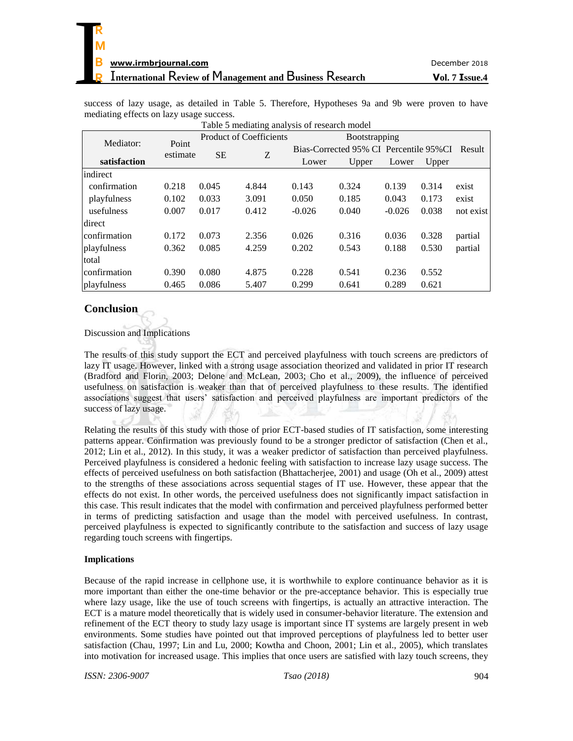success of lazy usage, as detailed in Table 5. Therefore, Hypotheses 9a and 9b were proven to have mediating effects on lazy usage success.

|              |          |                                | Table 5 mediating analysis of research model |               |                                                |          |       |           |
|--------------|----------|--------------------------------|----------------------------------------------|---------------|------------------------------------------------|----------|-------|-----------|
| Mediator:    | Point    | <b>Product of Coefficients</b> |                                              | Bootstrapping |                                                |          |       |           |
|              | estimate | <b>SE</b>                      | Z                                            |               | Bias-Corrected 95% CI Percentile 95% CI Result |          |       |           |
| satisfaction |          |                                |                                              | Lower         | Upper                                          | Lower    | Upper |           |
| indirect     |          |                                |                                              |               |                                                |          |       |           |
| confirmation | 0.218    | 0.045                          | 4.844                                        | 0.143         | 0.324                                          | 0.139    | 0.314 | exist     |
| playfulness  | 0.102    | 0.033                          | 3.091                                        | 0.050         | 0.185                                          | 0.043    | 0.173 | exist     |
| usefulness   | 0.007    | 0.017                          | 0.412                                        | $-0.026$      | 0.040                                          | $-0.026$ | 0.038 | not exist |
| direct       |          |                                |                                              |               |                                                |          |       |           |
| confirmation | 0.172    | 0.073                          | 2.356                                        | 0.026         | 0.316                                          | 0.036    | 0.328 | partial   |
| playfulness  | 0.362    | 0.085                          | 4.259                                        | 0.202         | 0.543                                          | 0.188    | 0.530 | partial   |
| total        |          |                                |                                              |               |                                                |          |       |           |
| confirmation | 0.390    | 0.080                          | 4.875                                        | 0.228         | 0.541                                          | 0.236    | 0.552 |           |
| playfulness  | 0.465    | 0.086                          | 5.407                                        | 0.299         | 0.641                                          | 0.289    | 0.621 |           |

# **Conclusion**

Discussion and Implications

The results of this study support the ECT and perceived playfulness with touch screens are predictors of lazy IT usage. However, linked with a strong usage association theorized and validated in prior IT research (Bradford and Florin, 2003; Delone and McLean, 2003; Cho et al., 2009), the influence of perceived usefulness on satisfaction is weaker than that of perceived playfulness to these results. The identified associations suggest that users' satisfaction and perceived playfulness are important predictors of the success of lazy usage.

Relating the results of this study with those of prior ECT-based studies of IT satisfaction, some interesting patterns appear. Confirmation was previously found to be a stronger predictor of satisfaction (Chen et al., 2012; Lin et al., 2012). In this study, it was a weaker predictor of satisfaction than perceived playfulness. Perceived playfulness is considered a hedonic feeling with satisfaction to increase lazy usage success. The effects of perceived usefulness on both satisfaction (Bhattacherjee, 2001) and usage (Oh et al., 2009) attest to the strengths of these associations across sequential stages of IT use. However, these appear that the effects do not exist. In other words, the perceived usefulness does not significantly impact satisfaction in this case. This result indicates that the model with confirmation and perceived playfulness performed better in terms of predicting satisfaction and usage than the model with perceived usefulness. In contrast, perceived playfulness is expected to significantly contribute to the satisfaction and success of lazy usage regarding touch screens with fingertips.

#### **Implications**

Because of the rapid increase in cellphone use, it is worthwhile to explore continuance behavior as it is more important than either the one-time behavior or the pre-acceptance behavior. This is especially true where lazy usage, like the use of touch screens with fingertips, is actually an attractive interaction. The ECT is a mature model theoretically that is widely used in consumer-behavior literature. The extension and refinement of the ECT theory to study lazy usage is important since IT systems are largely present in web environments. Some studies have pointed out that improved perceptions of playfulness led to better user satisfaction (Chau, 1997; Lin and Lu, 2000; Kowtha and Choon, 2001; Lin et al., 2005), which translates into motivation for increased usage. This implies that once users are satisfied with lazy touch screens, they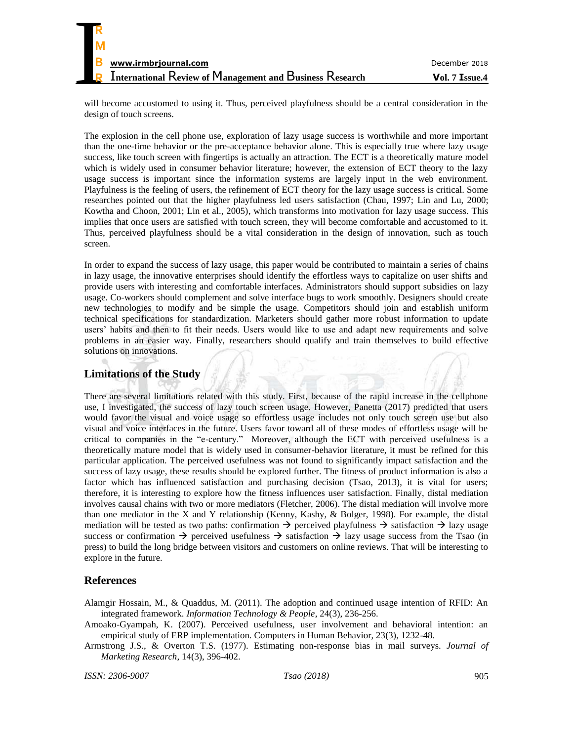| R                                                               |                |
|-----------------------------------------------------------------|----------------|
| M                                                               |                |
| B<br>www.irmbrjournal.com                                       | December 2018  |
| <b>International Review of Management and Business Research</b> | Vol. 7 Issue.4 |

will become accustomed to using it. Thus, perceived playfulness should be a central consideration in the design of touch screens.

The explosion in the cell phone use, exploration of lazy usage success is worthwhile and more important than the one-time behavior or the pre-acceptance behavior alone. This is especially true where lazy usage success, like touch screen with fingertips is actually an attraction. The ECT is a theoretically mature model which is widely used in consumer behavior literature; however, the extension of ECT theory to the lazy usage success is important since the information systems are largely input in the web environment. Playfulness is the feeling of users, the refinement of ECT theory for the lazy usage success is critical. Some researches pointed out that the higher playfulness led users satisfaction (Chau, 1997; Lin and Lu, 2000; Kowtha and Choon, 2001; Lin et al., 2005), which transforms into motivation for lazy usage success. This implies that once users are satisfied with touch screen, they will become comfortable and accustomed to it. Thus, perceived playfulness should be a vital consideration in the design of innovation, such as touch screen.

In order to expand the success of lazy usage, this paper would be contributed to maintain a series of chains in lazy usage, the innovative enterprises should identify the effortless ways to capitalize on user shifts and provide users with interesting and comfortable interfaces. Administrators should support subsidies on lazy usage. Co-workers should complement and solve interface bugs to work smoothly. Designers should create new technologies to modify and be simple the usage. Competitors should join and establish uniform technical specifications for standardization. Marketers should gather more robust information to update users' habits and then to fit their needs. Users would like to use and adapt new requirements and solve problems in an easier way. Finally, researchers should qualify and train themselves to build effective solutions on innovations.

# **Limitations of the Study**

There are several limitations related with this study. First, because of the rapid increase in the cellphone use, I investigated, the success of lazy touch screen usage. However, Panetta (2017) predicted that users would favor the visual and voice usage so effortless usage includes not only touch screen use but also visual and voice interfaces in the future. Users favor toward all of these modes of effortless usage will be critical to companies in the "e-century." Moreover, although the ECT with perceived usefulness is a theoretically mature model that is widely used in consumer-behavior literature, it must be refined for this particular application. The perceived usefulness was not found to significantly impact satisfaction and the success of lazy usage, these results should be explored further. The fitness of product information is also a factor which has influenced satisfaction and purchasing decision (Tsao, 2013), it is vital for users; therefore, it is interesting to explore how the fitness influences user satisfaction. Finally, distal mediation involves causal chains with two or more mediators (Fletcher, 2006). The distal mediation will involve more than one mediator in the X and Y relationship (Kenny, Kashy, & Bolger, 1998). For example, the distal mediation will be tested as two paths: confirmation  $\rightarrow$  perceived playfulness  $\rightarrow$  satisfaction  $\rightarrow$  lazy usage success or confirmation  $\rightarrow$  perceived usefulness  $\rightarrow$  satisfaction  $\rightarrow$  lazy usage success from the Tsao (in press) to build the long bridge between visitors and customers on online reviews. That will be interesting to explore in the future.

## **References**

- Alamgir Hossain, M., & Quaddus, M. (2011). The adoption and continued usage intention of RFID: An integrated framework. *Information Technology & People*, 24(3), 236-256.
- Amoako-Gyampah, K. (2007). Perceived usefulness, user involvement and behavioral intention: an empirical study of ERP implementation. Computers in Human Behavior, 23(3), 1232-48.
- Armstrong J.S., & Overton T.S. (1977). Estimating non-response bias in mail surveys. *Journal of Marketing Research*, 14(3), 396-402.

*ISSN: 2306-9007 Tsao (2018)* 905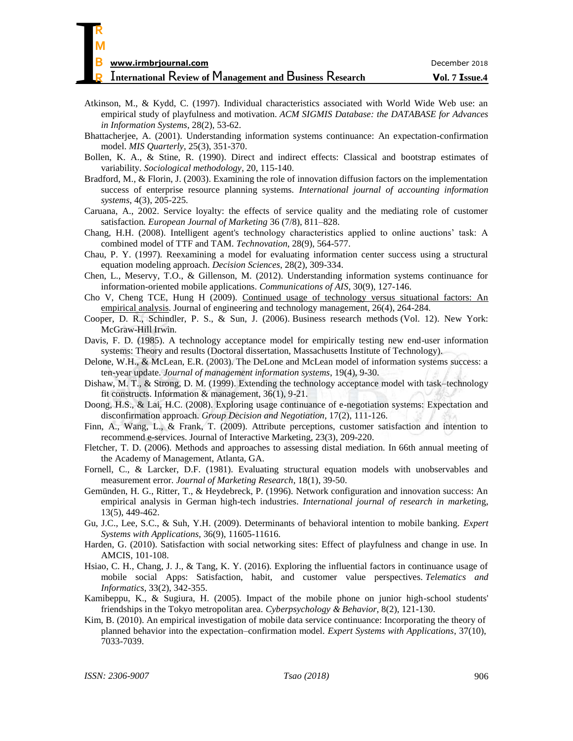| R                                                               |                |
|-----------------------------------------------------------------|----------------|
| M                                                               |                |
| B<br>www.irmbrjournal.com                                       | December 2018  |
| <b>International Review of Management and Business Research</b> | Vol. 7 Issue.4 |

- Atkinson, M., & Kydd, C. (1997). Individual characteristics associated with World Wide Web use: an empirical study of playfulness and motivation. *ACM SIGMIS Database: the DATABASE for Advances in Information Systems*, 28(2), 53-62.
- Bhattacherjee, A. (2001). Understanding information systems continuance: An expectation-confirmation model. *MIS Quarterly*, 25(3), 351-370.
- Bollen, K. A., & Stine, R. (1990). Direct and indirect effects: Classical and bootstrap estimates of variability. *Sociological methodology*, 20, 115-140.
- Bradford, M., & Florin, J. (2003). Examining the role of innovation diffusion factors on the implementation success of enterprise resource planning systems. *International journal of accounting information systems*, 4(3), 205-225.
- Caruana, A., 2002. Service loyalty: the effects of service quality and the mediating role of customer satisfaction*. European Journal of Marketing* 36 (7/8), 811–828.
- Chang, H.H. (2008). Intelligent agent's technology characteristics applied to online auctions' task: A combined model of TTF and TAM. *Technovation*, 28(9), 564-577.
- Chau, P. Y. (1997). Reexamining a model for evaluating information center success using a structural equation modeling approach. *Decision Sciences*, 28(2), 309-334.
- Chen, L., Meservy, T.O., & Gillenson, M. (2012). Understanding information systems continuance for information-oriented mobile applications. *Communications of AIS*, 30(9), 127-146.
- Cho V, Cheng TCE, Hung H (2009). [Continued usage of technology versus situational factors: An](http://140.113.39.244:2091/full_record.do?product=WOS&search_mode=GeneralSearch&qid=2&SID=N1BJ59JhDAbfjnacnGj&page=1&doc=1&cacheurlFromRightClick=no)  [empirical analysis.](http://140.113.39.244:2091/full_record.do?product=WOS&search_mode=GeneralSearch&qid=2&SID=N1BJ59JhDAbfjnacnGj&page=1&doc=1&cacheurlFromRightClick=no) Journal of engineering and technology management, 26(4), 264-284.
- Cooper, D. R., Schindler, P. S., & Sun, J. (2006). Business research methods (Vol. 12). New York: McGraw-Hill Irwin.
- Davis, F. D. (1985). A technology acceptance model for empirically testing new end-user information systems: Theory and results (Doctoral dissertation, Massachusetts Institute of Technology).
- Delone, W.H., & McLean, E.R. (2003). The DeLone and McLean model of information systems success: a ten-year update. *Journal of management information systems*, 19(4), 9-30.
- Dishaw, M. T., & Strong, D. M. (1999). Extending the technology acceptance model with task–technology fit constructs. Information & management, 36(1), 9-21.
- Doong, H.S., & Lai, H.C. (2008). Exploring usage continuance of e-negotiation systems: Expectation and disconfirmation approach. *Group Decision and Negotiation*, 17(2), 111-126.
- Finn, A., Wang, L., & Frank, T. (2009). Attribute perceptions, customer satisfaction and intention to recommend e-services. Journal of Interactive Marketing, 23(3), 209-220.
- Fletcher, T. D. (2006). Methods and approaches to assessing distal mediation. In 66th annual meeting of the Academy of Management, Atlanta, GA.
- Fornell, C., & Larcker, D.F. (1981). Evaluating structural equation models with unobservables and measurement error. *Journal of Marketing Research*, 18(1), 39-50.
- Gemünden, H. G., Ritter, T., & Heydebreck, P. (1996). Network configuration and innovation success: An empirical analysis in German high-tech industries. *International journal of research in marketin*g, 13(5), 449-462.
- Gu, J.C., Lee, S.C., & Suh, Y.H. (2009). Determinants of behavioral intention to mobile banking. *Expert Systems with Applications,* 36(9), 11605-11616.
- Harden, G. (2010). Satisfaction with social networking sites: Effect of playfulness and change in use. In AMCIS, 101-108.
- Hsiao, C. H., Chang, J. J., & Tang, K. Y. (2016). Exploring the influential factors in continuance usage of mobile social Apps: Satisfaction, habit, and customer value perspectives. *Telematics and Informatics*, 33(2), 342-355.
- Kamibeppu, K., & Sugiura, H. (2005). Impact of the mobile phone on junior high-school students' friendships in the Tokyo metropolitan area. *Cyberpsychology & Behavior*, 8(2), 121-130.
- Kim, B. (2010). An empirical investigation of mobile data service continuance: Incorporating the theory of planned behavior into the expectation–confirmation model. *Expert Systems with Applications*, 37(10), 7033-7039.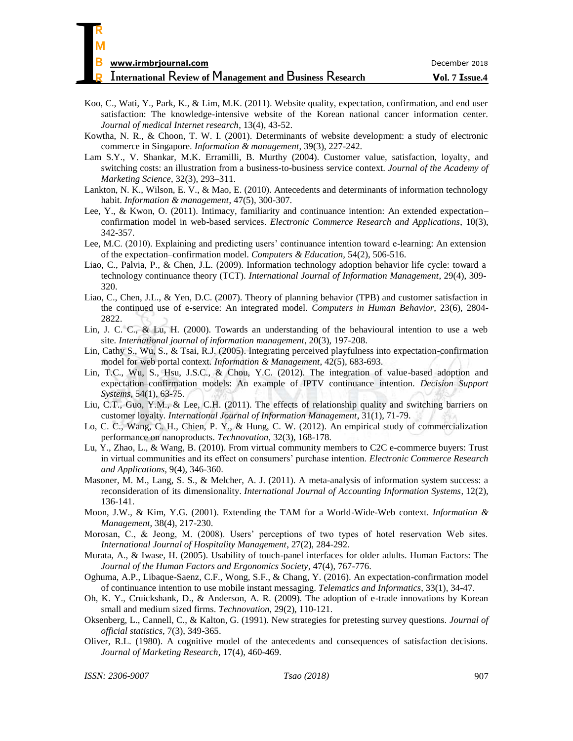| R                                                               |                |
|-----------------------------------------------------------------|----------------|
| M                                                               |                |
| B<br>www.irmbrjournal.com                                       | December 2018  |
| <b>International Review of Management and Business Research</b> | Vol. 7 Issue.4 |

- Koo, C., Wati, Y., Park, K., & Lim, M.K. (2011). Website quality, expectation, confirmation, and end user satisfaction: The knowledge-intensive website of the Korean national cancer information center. *Journal of medical Internet research*, 13(4), 43-52.
- Kowtha, N. R., & Choon, T. W. I. (2001). Determinants of website development: a study of electronic commerce in Singapore. *Information & management*, 39(3), 227-242.
- Lam S.Y., V. Shankar, M.K. Erramilli, B. Murthy (2004). Customer value, satisfaction, loyalty, and switching costs: an illustration from a business-to-business service context. *Journal of the Academy of Marketing Science*, 32(3), 293–311.
- Lankton, N. K., Wilson, E. V., & Mao, E. (2010). Antecedents and determinants of information technology habit. *Information & management*, 47(5), 300-307.
- Lee, Y., & Kwon, O. (2011). Intimacy, familiarity and continuance intention: An extended expectation– confirmation model in web-based services. *Electronic Commerce Research and Applications*, 10(3), 342-357.
- Lee, M.C. (2010). Explaining and predicting users' continuance intention toward e-learning: An extension of the expectation–confirmation model. *Computers & Education,* 54(2), 506-516.
- Liao, C., Palvia, P., & Chen, J.L. (2009). Information technology adoption behavior life cycle: toward a technology continuance theory (TCT). *International Journal of Information Management*, 29(4), 309- 320.
- Liao, C., Chen, J.L., & Yen, D.C. (2007). Theory of planning behavior (TPB) and customer satisfaction in the continued use of e-service: An integrated model. *Computers in Human Behavior*, 23(6), 2804- 2822.
- Lin, J. C. C., & Lu, H. (2000). Towards an understanding of the behavioural intention to use a web site. *International journal of information management*, 20(3), 197-208.
- Lin, Cathy S., Wu, S., & Tsai, R.J. (2005). Integrating perceived playfulness into expectation-confirmation model for web portal context. *Information & Management*, 42(5), 683-693.
- Lin, T.C., Wu, S., Hsu, J.S.C., & Chou, Y.C. (2012). The integration of value-based adoption and expectation–confirmation models: An example of IPTV continuance intention. *Decision Support Systems,* 54(1), 63-75.
- Liu, C.T., Guo, Y.M., & Lee, C.H. (2011). The effects of relationship quality and switching barriers on customer loyalty*. International Journal of Information Management*, 31(1), 71-79.
- Lo, C. C., Wang, C. H., Chien, P. Y., & Hung, C. W. (2012). An empirical study of commercialization performance on nanoproducts. *Technovation*, 32(3), 168-178.
- Lu, Y., Zhao, L., & Wang, B. (2010). From virtual community members to C2C e-commerce buyers: Trust in virtual communities and its effect on consumers' purchase intention. *Electronic Commerce Research and Applications,* 9(4), 346-360.
- Masoner, M. M., Lang, S. S., & Melcher, A. J. (2011). A meta-analysis of information system success: a reconsideration of its dimensionality. *International Journal of Accounting Information Systems*, 12(2), 136-141.
- Moon, J.W., & Kim, Y.G. (2001). Extending the TAM for a World-Wide-Web context. *Information & Management*, 38(4), 217-230.
- Morosan, C., & Jeong, M. (2008). Users' perceptions of two types of hotel reservation Web sites. *International Journal of Hospitality Management*, 27(2), 284-292.
- Murata, A., & Iwase, H. (2005). Usability of touch-panel interfaces for older adults. Human Factors: The *Journal of the Human Factors and Ergonomics Society*, 47(4), 767-776.
- Oghuma, A.P., Libaque-Saenz, C.F., Wong, S.F., & Chang, Y. (2016). An expectation-confirmation model of continuance intention to use mobile instant messaging. *Telematics and Informatics*, 33(1), 34-47.
- Oh, K. Y., Cruickshank, D., & Anderson, A. R. (2009). The adoption of e-trade innovations by Korean small and medium sized firms. *Technovation,* 29(2), 110-121.
- Oksenberg, L., Cannell, C., & Kalton, G. (1991). New strategies for pretesting survey questions. *Journal of official statistics*, 7(3), 349-365.
- Oliver, R.L. (1980). A cognitive model of the antecedents and consequences of satisfaction decisions. *Journal of Marketing Research*, 17(4), 460-469.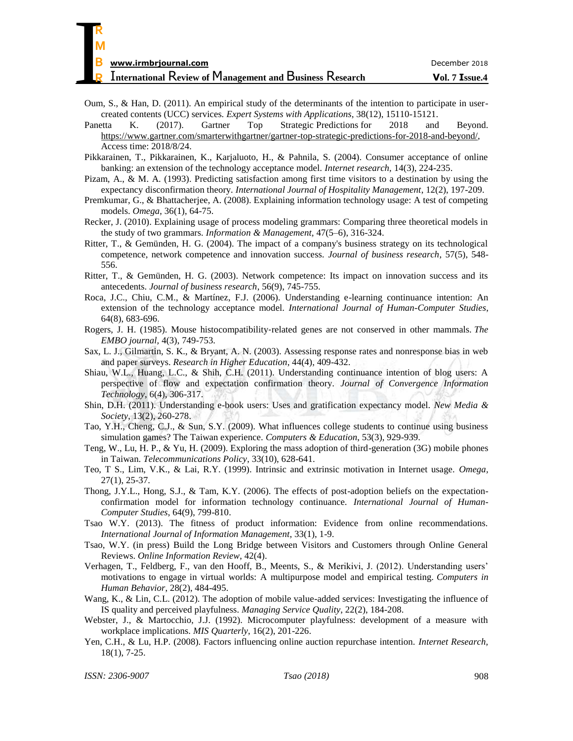| R                                                               |                |
|-----------------------------------------------------------------|----------------|
|                                                                 |                |
| M                                                               |                |
| В<br>www.irmbrjournal.com                                       | December 2018  |
| <b>International Review of Management and Business Research</b> | Vol. 7 Issue.4 |

Oum, S., & Han, D. (2011). An empirical study of the determinants of the intention to participate in usercreated contents (UCC) services*. Expert Systems with Applications*, 38(12), 15110-15121.

Panetta K. (2017). Gartner Top Strategic Predictions for 2018 and Beyond. [https://www.gartner.com/smarterwithgartner/gartner-top-strategic-predictions-for-2018-and-beyond/,](https://www.gartner.com/smarterwithgartner/gartner-top-strategic-predictions-for-2018-and-beyond/) Access time: 2018/8/24.

- Pikkarainen, T., Pikkarainen, K., Karjaluoto, H., & Pahnila, S. (2004). Consumer acceptance of online banking: an extension of the technology acceptance model. *Internet research,* 14(3), 224-235.
- Pizam, A., & M. A. (1993). Predicting satisfaction among first time visitors to a destination by using the expectancy disconfirmation theory. *International Journal of Hospitality Management*, 12(2), 197-209.
- Premkumar, G., & Bhattacherjee, A. (2008). Explaining information technology usage: A test of competing models. *Omega*, 36(1), 64-75.
- Recker, J. (2010). Explaining usage of process modeling grammars: Comparing three theoretical models in the study of two grammars. *Information & Management,* 47(5–6), 316-324.
- Ritter, T., & Gemünden, H. G. (2004). The impact of a company's business strategy on its technological competence, network competence and innovation success. *Journal of business research*, 57(5), 548- 556.
- Ritter, T., & Gemünden, H. G. (2003). Network competence: Its impact on innovation success and its antecedents. *Journal of business research*, 56(9), 745-755.
- Roca, J.C., Chiu, C.M., & Martínez, F.J. (2006). Understanding e-learning continuance intention: An extension of the technology acceptance model. *International Journal of Human-Computer Studies*, 64(8), 683-696.
- Rogers, J. H. (1985). Mouse histocompatibility-related genes are not conserved in other mammals. *The EMBO journal,* 4(3), 749-753.
- Sax, L. J., Gilmartin, S. K., & Bryant, A. N. (2003). Assessing response rates and nonresponse bias in web and paper surveys. *Research in Higher Education*, 44(4), 409-432.
- Shiau, W.L., Huang, L.C., & Shih, C.H. (2011). Understanding continuance intention of blog users: A perspective of flow and expectation confirmation theory. *Journal of Convergence Information Technology*, 6(4), 306-317.
- Shin, D.H. (2011). Understanding e-book users: Uses and gratification expectancy model. *New Media & Society*, 13(2), 260-278.
- Tao, Y.H., Cheng, C.J., & Sun, S.Y. (2009). What influences college students to continue using business simulation games? The Taiwan experience. *Computers & Education*, 53(3), 929-939.
- Teng, W., Lu, H. P., & Yu, H. (2009). Exploring the mass adoption of third-generation (3G) mobile phones in Taiwan. *Telecommunications Policy*, 33(10), 628-641.
- Teo, T S., Lim, V.K., & Lai, R.Y. (1999). Intrinsic and extrinsic motivation in Internet usage. *Omega,* 27(1), 25-37.
- Thong, J.Y.L., Hong, S.J., & Tam, K.Y. (2006). The effects of post-adoption beliefs on the expectationconfirmation model for information technology continuance. *International Journal of Human-Computer Studies*, 64(9), 799-810.
- Tsao W.Y. (2013). The fitness of product information: Evidence from online recommendations. *International Journal of Information Management*, 33(1), 1-9.
- Tsao, W.Y. (in press) Build the Long Bridge between Visitors and Customers through Online General Reviews. *Online Information Review*, 42(4).
- Verhagen, T., Feldberg, F., van den Hooff, B., Meents, S., & Merikivi, J. (2012). Understanding users' motivations to engage in virtual worlds: A multipurpose model and empirical testing. *Computers in Human Behavior*, 28(2), 484-495.
- Wang, K., & Lin, C.L. (2012). The adoption of mobile value-added services: Investigating the influence of IS quality and perceived playfulness. *Managing Service Quality*, 22(2), 184-208.
- Webster, J., & Martocchio, J.J. (1992). Microcomputer playfulness: development of a measure with workplace implications. *MIS Quarterly*, 16(2), 201-226.
- Yen, C.H., & Lu, H.P. (2008). Factors influencing online auction repurchase intention. *Internet Research,* 18(1), 7-25.